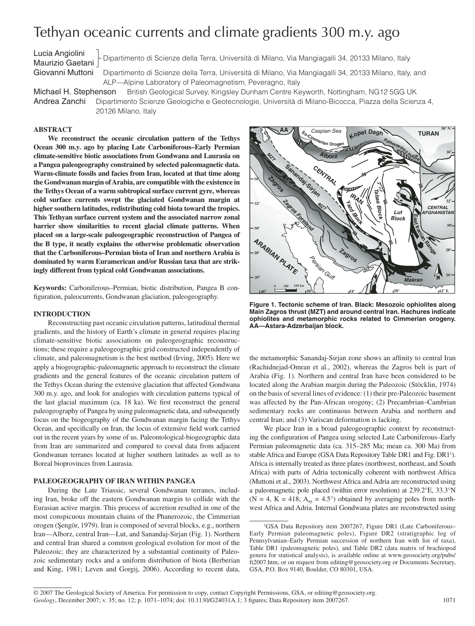# Tethyan oceanic currents and climate gradients 300 m.y. ago

Lucia Angiolini

Lucia Angiolini<br>Maurizio Gaetani PDipartimento di Scienze della Terra, Università di Milano, Via Mangiagalli 34, 20133 Milano, Italy

Giovanni Muttoni Dipartimento di Scienze della Terra, Università di Milano, Via Mangiagalli 34, 20133 Milano, Italy, and ALP—Alpine Laboratory of Paleomagnetism, Peveragno, Italy

Michael H. Stephenson British Geological Survey, Kingsley Dunham Centre Keyworth, Nottingham, NG12 5GG UK Andrea Zanchi Dipartimento Scienze Geologiche e Geotecnologie, Università di Milano-Bicocca, Piazza della Scienza 4, 20126 Milano, Italy

## **ABSTRACT**

**We reconstruct the oceanic circulation pattern of the Tethys Ocean 300 m.y. ago by placing Late Carboniferous–Early Permian climate-sensitive biotic associations from Gondwana and Laurasia on a Pangea paleogeography constrained by selected paleomagnetic data. Warm-climate fossils and facies from Iran, located at that time along the Gondwanan margin of Arabia, are compatible with the existence in the Tethys Ocean of a warm subtropical surface current gyre, whereas cold surface currents swept the glaciated Gondwanan margin at higher southern latitudes, redistributing cold biota toward the tropics. This Tethyan surface current system and the associated narrow zonal barrier show similarities to recent glacial climate patterns. When placed on a large-scale paleogeographic reconstruction of Pangea of the B type, it neatly explains the otherwise problematic observation that the Carboniferous–Permian biota of Iran and northern Arabia is dominated by warm Euramerican and/or Russian taxa that are strikingly different from typical cold Gondwanan associations.**

**Keywords:** Carboniferous–Permian, biotic distribution, Pangea B configuration, paleocurrents, Gondwanan glaciation, paleogeography.

#### **INTRODUCTION**

Reconstructing past oceanic circulation patterns, latitudinal thermal gradients, and the history of Earth's climate in general requires placing climate-sensitive biotic associations on paleogeographic reconstructions; these require a paleogeographic grid constructed independently of climate, and paleomagnetism is the best method (Irving, 2005). Here we apply a biogeographic-paleomagnetic approach to reconstruct the climate gradients and the general features of the oceanic circulation pattern of the Tethys Ocean during the extensive glaciation that affected Gondwana 300 m.y. ago, and look for analogies with circulation patterns typical of the last glacial maximum (ca. 18 ka). We first reconstruct the general paleogeography of Pangea by using paleomagnetic data, and subsequently focus on the biogeography of the Gondwanan margin facing the Tethys Ocean, and specifically on Iran, the locus of extensive field work carried out in the recent years by some of us. Paleontological-biogeographic data from Iran are summarized and compared to coeval data from adjacent Gondwanan terranes located at higher southern latitudes as well as to Boreal bioprovinces from Laurasia.

## **PALEOGEOGRAPHY OF IRAN WITHIN PANGEA**

During the Late Triassic, several Gondwanan terranes, including Iran, broke off the eastern Gondwanan margin to collide with the Eurasian active margin. This process of accretion resulted in one of the most conspicuous mountain chains of the Phanerozoic, the Cimmerian orogen (Şengör, 1979). Iran is composed of several blocks, e.g., northern Iran—Alborz, central Iran—Lut, and Sanandaj-Sirjan (Fig. 1). Northern and central Iran shared a common geological evolution for most of the Paleozoic; they are characterized by a substantial continuity of Paleozoic sedimentary rocks and a uniform distribution of biota (Berberian and King, 1981; Leven and Gorgij, 2006). According to recent data,



**Figure 1. Tectonic scheme of Iran. Black: Mesozoic ophiolites along Main Zagros thrust (MZT) and around central Iran. Hachures indicate ophiolites and metamorphic rocks related to Cimmerian orogeny. AA—Astara-Adzerbaijan block.**

the metamorphic Sanandaj-Sirjan zone shows an affinity to central Iran ( Rachidnejad-Omran et al., 2002), whereas the Zagros belt is part of Arabia (Fig. 1). Northern and central Iran have been considered to be located along the Arabian margin during the Paleozoic (Stöcklin, 1974) on the basis of several lines of evidence: (1) their pre-Paleozoic basement was affected by the Pan-African orogeny; (2) Precambrian–Cambrian sedimentary rocks are continuous between Arabia and northern and central Iran; and (3) Variscan deformation is lacking.

We place Iran in a broad paleogeographic context by reconstructing the configuration of Pangea using selected Late Carboniferous–Early Permian paleomagnetic data (ca. 315 –285 Ma; mean ca. 300 Ma) from stable Africa and Europe (GSA Data Repository Table DR1 and Fig. DR1<sup>1</sup>). Africa is internally treated as three plates (northwest, northeast, and South Africa) with parts of Adria tectonically coherent with northwest Africa (Muttoni et al., 2003). Northwest Africa and Adria are reconstructed using a paleomagnetic pole placed (within error resolution) at 239.2°E, 33.3°N (N = 4, K = 418;  $A_{95}$  = 4.5°) obtained by averaging poles from northwest Africa and Adria. Internal Gondwana plates are reconstructed using

<sup>1</sup> GSA Data Repository item 2007267, Figure DR1 (Late Carboniferous– Early Permian paleomagnetic poles), Figure DR2 (stratigraphic log of Pennsylvanian–Early Permian succession of northern Iran with list of taxa), Table DR1 (paleomagnetic poles), and Table DR2 (data matrix of brachiopod genera for statistical analysis), is available online at www.geosociety.org/pubs/ ft2007.htm, or on request from editing@geosociety.org or Documents Secretary, GSA, P.O. Box 9140, Boulder, CO 80301, USA.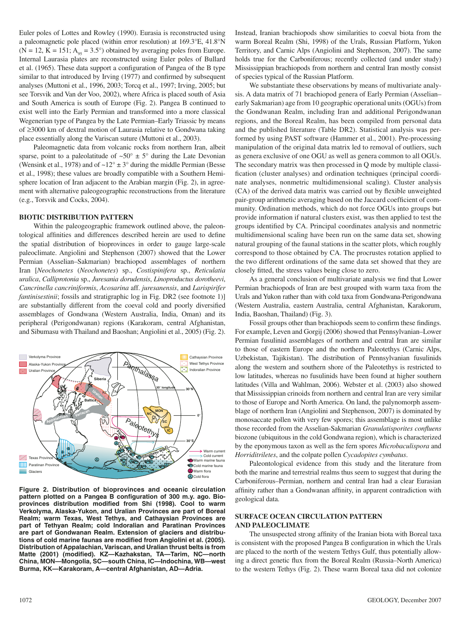Euler poles of Lottes and Rowley (1990). Eurasia is reconstructed using a paleomagnetic pole placed (within error resolution) at 169.3°E, 41.8°N (N = 12, K = 151;  $A_{.05}$  = 3.5°) obtained by averaging poles from Europe. Internal Laurasia plates are reconstructed using Euler poles of Bullard et al. (1965). These data support a configuration of Pangea of the B type similar to that introduced by Irving (1977) and confirmed by subsequent analyses ( Muttoni et al., 1996, 2003; Torcq et al., 1997; Irving, 2005; but see Torsvik and Van der Voo, 2002), where Africa is placed south of Asia and South America is south of Europe (Fig. 2). Pangea B continued to exist well into the Early Permian and transformed into a more classical Wegenerian type of Pangea by the Late Permian –Early Triassic by means of ≥3000 km of dextral motion of Laurasia relative to Gondwana taking place essentially along the Variscan suture (Muttoni et al., 2003).

Paleomagnetic data from volcanic rocks from northern Iran, albeit sparse, point to a paleolatitude of  $\sim 50^{\circ} \pm 5^{\circ}$  during the Late Devonian (Wensink et al., 1978) and of  $\sim 12^{\circ} \pm 3^{\circ}$  during the middle Permian (Besse et al., 1998); these values are broadly compatible with a Southern Hemisphere location of Iran adjacent to the Arabian margin (Fig. 2), in agreement with alternative paleogeographic reconstructions from the literature (e.g., Torsvik and Cocks, 2004).

# **BIOTIC DISTRIBUTION PATTERN**

Within the paleogeographic framework outlined above, the paleontological affinities and differences described herein are used to define the spatial distribution of bioprovinces in order to gauge large-scale paleoclimate. Angiolini and Stephenson (2007) showed that the Lower Permian (Asselian–Sakmarian) brachiopod assemblages of northern Iran [*Neochonetes* (*Neochonetes*) sp., *Costispinifera* sp., *Reticulatia uralica*, *Calliprotonia* sp., *Juresania dorudensis*, *Linoproductus dorotheevi*, *Cancrinella cancriniformis*, *Acosarina* aff. *juresanensis*, and *Larispirifer fantinisestinii*; fossils and stratigraphic log in Fig. DR2 (see footnote 1)] are substantially different from the coeval cold and poorly diversified assemblages of Gondwana (Western Australia, India, Oman) and its peripheral (Perigondwanan) regions (Karakoram, central Afghanistan, and Sibumasu with Thailand and Baoshan; Angiolini et al., 2005) (Fig. 2).



**Figure 2. Distribution of bioprovinces and oceanic circulation**  pattern plotted on a Pangea B configuration of 300 m.y. ago. Bioprovinces distribution modified from Shi (1998). Cool to warm **Verkolyma, Alaska-Yukon, and Uralian Provinces are part of Boreal Realm; warm Texas, West Tethys, and Cathaysian Provinces are part of Tethyan Realm; cold Indoralian and Paratinan Provinces are part of Gondwanan Realm. Extension of glaciers and distribu**tions of cold marine faunas are modified from Angiolini et al. (2005). **Distribution of Appalachian, Variscan, and Uralian thrust belts is from**  Matte (2001) (modified). KZ-Kazhakstan, TA-Tarim, NC-north **China, MON—Mongolia, SC—south China, IC—Indochina, WB—west Burma, KK—Karakoram, A—central Afghanistan, AD—Adria.**

Instead, Iranian brachiopods show similarities to coeval biota from the warm Boreal Realm (Shi, 1998) of the Urals, Russian Platform, Yukon Territory, and Carnic Alps (Angiolini and Stephenson, 2007). The same holds true for the Carboniferous; recently collected (and under study) Mississippian brachiopods from northern and central Iran mostly consist of species typical of the Russian Platform.

We substantiate these observations by means of multivariate analysis. A data matrix of 71 brachiopod genera of Early Permian (Asselian– early Sakmarian) age from 10 geographic operational units (OGUs) from the Gondwanan Realm, including Iran and additional Perigondwanan regions, and the Boreal Realm, has been compiled from personal data and the published literature (Table DR2). Statistical analysis was performed by using PAST software (Hammer et al., 2001). Pre-processing manipulation of the original data matrix led to removal of outliers, such as genera exclusive of one OGU as well as genera common to all OGUs. The secondary matrix was then processed in Q mode by multiple classification (cluster analyses) and ordination techniques (principal coordinate analyses, nonmetric multidimensional scaling). Cluster analysis (CA) of the derived data matrix was carried out by flexible unweighted pair-group arithmetic averaging based on the Jaccard coefficient of community. Ordination methods, which do not force OGUs into groups but provide information if natural clusters exist, was then applied to test the groups identified by CA. Principal coordinates analysis and nonmetric multidimensional scaling have been run on the same data set, showing natural grouping of the faunal stations in the scatter plots, which roughly correspond to those obtained by CA. The procrustes rotation applied to the two different ordinations of the same data set showed that they are closely fitted, the stress values being close to zero.

As a general conclusion of multivariate analysis we find that Lower Permian brachiopods of Iran are best grouped with warm taxa from the Urals and Yukon rather than with cold taxa from Gondwana-Perigondwana (Western Australia, eastern Australia, central Afghanistan, Karakorum, India, Baoshan, Thailand) (Fig. 3).

Fossil groups other than brachiopods seem to confirm these findings. For example, Leven and Gorgij (2006) showed that Pennsylvanian–Lower Permian fusulinid assemblages of northern and central Iran are similar to those of eastern Europe and the northern Paleotethys (Carnic Alps, Uzbekistan, Tajikistan). The distribution of Pennsylvanian fusulinids along the western and southern shore of the Paleotethys is restricted to low latitudes, whereas no fusulinids have been found at higher southern latitudes (Villa and Wahlman, 2006). Webster et al. (2003) also showed that Mississippian crinoids from northern and central Iran are very similar to those of Europe and North America. On land, the palynomorph assemblage of northern Iran (Angiolini and Stephenson, 2007) is dominated by monosaccate pollen with very few spores; this assemblage is most unlike those recorded from the Asselian-Sakmarian *Granulatisporites confluens* biozone (ubiquitous in the cold Gondwana region), which is characterized by the eponymous taxon as well as the fern spores *Microbaculispora* and *Horriditriletes*, and the colpate pollen *Cycadopites cymbatus*.

Paleontological evidence from this study and the literature from both the marine and terrestrial realms thus seem to suggest that during the Carboniferous–Permian, northern and central Iran had a clear Eurasian affinity rather than a Gondwanan affinity, in apparent contradiction with geological data.

# **SURFACE OCEAN CIRCULATION PATTERN AND PALEOCLIMATE**

The unsuspected strong affinity of the Iranian biota with Boreal taxa is consistent with the proposed Pangea B configuration in which the Urals are placed to the north of the western Tethys Gulf, thus potentially allowing a direct genetic flux from the Boreal Realm (Russia–North America) to the western Tethys (Fig. 2). These warm Boreal taxa did not colonize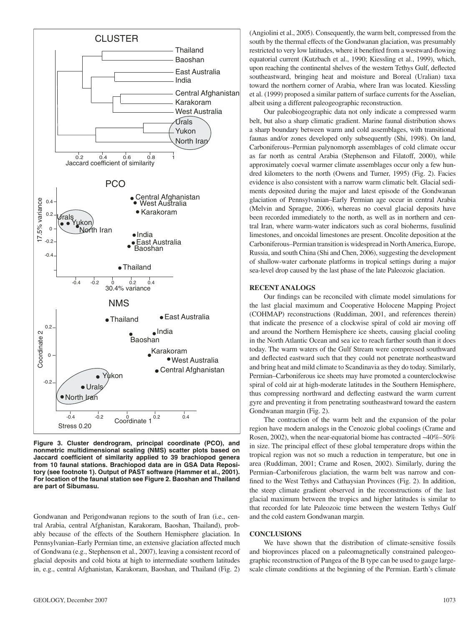

**Figure 3. Cluster dendrogram, principal coordinate (PCO), and nonmetric multidimensional scaling (NMS) scatter plots based on**  Jaccard coefficient of similarity applied to 39 brachiopod genera **from 10 faunal stations. Brachiopod data are in GSA Data Repository (see footnote 1). Output of PAST software (Hammer et al., 2001). For location of the faunal station see Figure 2. Baoshan and Thailand are part of Sibumasu.**

 Gondwanan and Perigondwanan regions to the south of Iran (i.e., central Arabia, central Afghanistan, Karakoram, Baoshan, Thailand), probably because of the effects of the Southern Hemisphere glaciation. In Pennsylvanian–Early Permian time, an extensive glaciation affected much of Gondwana (e.g., Stephenson et al., 2007), leaving a consistent record of glacial deposits and cold biota at high to intermediate southern latitudes in, e.g., central Afghanistan, Karakoram, Baoshan, and Thailand (Fig. 2)

(Angiolini et al., 2005). Consequently, the warm belt, compressed from the south by the thermal effects of the Gondwanan glaciation, was presumably restricted to very low latitudes, where it benefited from a westward-flowing equatorial current (Kutzbach et al., 1990; Kiessling et al., 1999), which, upon reaching the continental shelves of the western Tethys Gulf, deflected southeastward, bringing heat and moisture and Boreal (Uralian) taxa toward the northern corner of Arabia, where Iran was located. Kiessling et al. (1999) proposed a similar pattern of surface currents for the Asselian, albeit using a different paleogeographic reconstruction.

Our paleobiogeographic data not only indicate a compressed warm belt, but also a sharp climatic gradient. Marine faunal distribution shows a sharp boundary between warm and cold assemblages, with transitional faunas and/or zones developed only subsequently (Shi, 1998). On land, Carboniferous–Permian palynomorph assemblages of cold climate occur as far north as central Arabia (Stephenson and Filatoff, 2000), while approximately coeval warmer climate assemblages occur only a few hundred kilometers to the north (Owens and Turner, 1995) (Fig. 2). Facies evidence is also consistent with a narrow warm climatic belt. Glacial sediments deposited during the major and latest episode of the Gondwanan glaciation of Pennsylvanian–Early Permian age occur in central Arabia (Melvin and Sprague, 2006), whereas no coeval glacial deposits have been recorded immediately to the north, as well as in northern and central Iran, where warm-water indicators such as coral bioherms, fusulinid limestones, and oncoidal limestones are present. Oncolite deposition at the Carboniferous–Permian transition is widespread in North America, Europe, Russia, and south China (Shi and Chen, 2006), suggesting the development of shallow-water carbonate platforms in tropical settings during a major sea-level drop caused by the last phase of the late Paleozoic glaciation.

## **RECENT ANALOGS**

Our findings can be reconciled with climate model simulations for the last glacial maximum and Cooperative Holocene Mapping Project (COHMAP) reconstructions (Ruddiman, 2001, and references therein) that indicate the presence of a clockwise spiral of cold air moving off and around the Northern Hemisphere ice sheets, causing glacial cooling in the North Atlantic Ocean and sea ice to reach farther south than it does today. The warm waters of the Gulf Stream were compressed southward and deflected eastward such that they could not penetrate northeastward and bring heat and mild climate to Scandinavia as they do today. Similarly, Permian–Carboniferous ice sheets may have promoted a counterclockwise spiral of cold air at high-moderate latitudes in the Southern Hemisphere, thus compressing northward and deflecting eastward the warm current gyre and preventing it from penetrating southeastward toward the eastern Gondwanan margin (Fig. 2).

The contraction of the warm belt and the expansion of the polar region have modern analogs in the Cenozoic global coolings (Crame and Rosen, 2002), when the near-equatorial biome has contracted ~40%–50% in size. The principal effect of these global temperature drops within the tropical region was not so much a reduction in temperature, but one in area (Ruddiman, 2001; Crame and Rosen, 2002). Similarly, during the Permian–Carboniferous glaciation, the warm belt was narrow and confined to the West Tethys and Cathaysian Provinces (Fig. 2). In addition, the steep climate gradient observed in the reconstructions of the last glacial maximum between the tropics and higher latitudes is similar to that recorded for late Paleozoic time between the western Tethys Gulf and the cold eastern Gondwanan margin.

## **CONCLUSIONS**

We have shown that the distribution of climate-sensitive fossils and bioprovinces placed on a paleomagnetically constrained paleogeographic reconstruction of Pangea of the B type can be used to gauge largescale climate conditions at the beginning of the Permian. Earth's climate